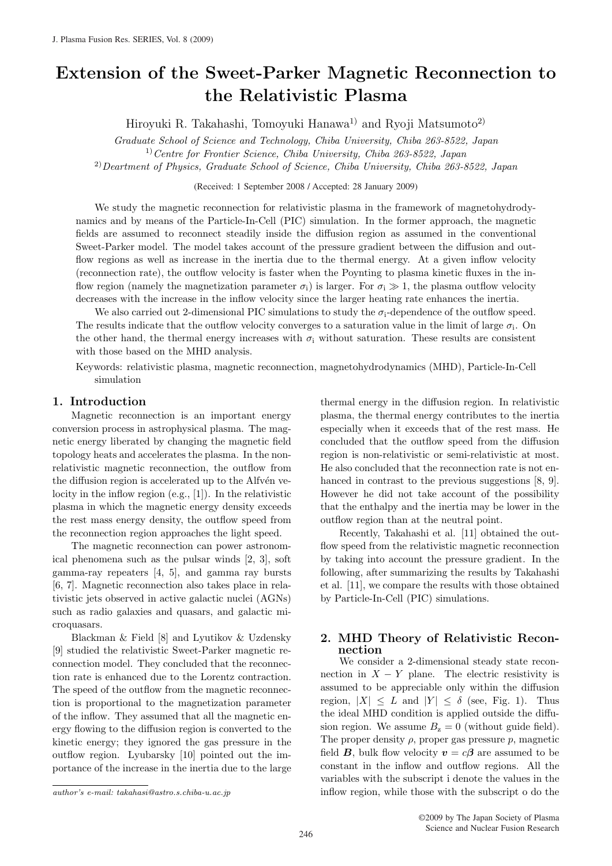# Extension of the Sweet-Parker Magnetic Reconnection to the Relativistic Plasma

Hiroyuki R. Takahashi, Tomoyuki Hanawa<sup>1)</sup> and Ryoji Matsumoto<sup>2)</sup>

*Graduate School of Science and Technology, Chiba University, Chiba 263-8522, Japan* 1)*Centre for Frontier Science, Chiba University, Chiba 263-8522, Japan*

2)*Deartment of Physics, Graduate School of Science, Chiba University, Chiba 263-8522, Japan*

(Received: 1 September 2008 / Accepted: 28 January 2009)

We study the magnetic reconnection for relativistic plasma in the framework of magnetohydrodynamics and by means of the Particle-In-Cell (PIC) simulation. In the former approach, the magnetic fields are assumed to reconnect steadily inside the diffusion region as assumed in the conventional Sweet-Parker model. The model takes account of the pressure gradient between the diffusion and outflow regions as well as increase in the inertia due to the thermal energy. At a given inflow velocity (reconnection rate), the outflow velocity is faster when the Poynting to plasma kinetic fluxes in the inflow region (namely the magnetization parameter  $\sigma_i$ ) is larger. For  $\sigma_i \gg 1$ , the plasma outflow velocity decreases with the increase in the inflow velocity since the larger heating rate enhances the inertia.

We also carried out 2-dimensional PIC simulations to study the  $\sigma_i$ -dependence of the outflow speed. The results indicate that the outflow velocity converges to a saturation value in the limit of large  $\sigma_i$ . On the other hand, the thermal energy increases with  $\sigma_i$  without saturation. These results are consistent with those based on the MHD analysis.

Keywords: relativistic plasma, magnetic reconnection, magnetohydrodynamics (MHD), Particle-In-Cell simulation

#### 1. Introduction

Magnetic reconnection is an important energy conversion process in astrophysical plasma. The magnetic energy liberated by changing the magnetic field topology heats and accelerates the plasma. In the nonrelativistic magnetic reconnection, the outflow from the diffusion region is accelerated up to the Alfven velocity in the inflow region (e.g., [1]). In the relativistic plasma in which the magnetic energy density exceeds the rest mass energy density, the outflow speed from the reconnection region approaches the light speed.

The magnetic reconnection can power astronomical phenomena such as the pulsar winds [2, 3], soft gamma-ray repeaters [4, 5], and gamma ray bursts [6, 7]. Magnetic reconnection also takes place in relativistic jets observed in active galactic nuclei (AGNs) such as radio galaxies and quasars, and galactic microquasars.

Blackman & Field [8] and Lyutikov & Uzdensky [9] studied the relativistic Sweet-Parker magnetic reconnection model. They concluded that the reconnection rate is enhanced due to the Lorentz contraction. The speed of the outflow from the magnetic reconnection is proportional to the magnetization parameter of the inflow. They assumed that all the magnetic energy flowing to the diffusion region is converted to the kinetic energy; they ignored the gas pressure in the outflow region. Lyubarsky [10] pointed out the importance of the increase in the inertia due to the large

*author's e-mail: takahasi@astro.s.chiba-u.ac.jp*

thermal energy in the diffusion region. In relativistic plasma, the thermal energy contributes to the inertia especially when it exceeds that of the rest mass. He concluded that the outflow speed from the diffusion region is non-relativistic or semi-relativistic at most. He also concluded that the reconnection rate is not enhanced in contrast to the previous suggestions [8, 9]. However he did not take account of the possibility that the enthalpy and the inertia may be lower in the outflow region than at the neutral point.

Recently, Takahashi et al. [11] obtained the outflow speed from the relativistic magnetic reconnection by taking into account the pressure gradient. In the following, after summarizing the results by Takahashi et al. [11], we compare the results with those obtained by Particle-In-Cell (PIC) simulations.

### 2. MHD Theory of Relativistic Reconnection

We consider a 2-dimensional steady state reconnection in  $X - Y$  plane. The electric resistivity is assumed to be appreciable only within the diffusion region,  $|X| \leq L$  and  $|Y| \leq \delta$  (see, Fig. 1). Thus the ideal MHD condition is applied outside the diffusion region. We assume  $B<sub>z</sub> = 0$  (without guide field). The proper density  $\rho$ , proper gas pressure  $p$ , magnetic field **B**, bulk flow velocity  $v = c\beta$  are assumed to be constant in the inflow and outflow regions. All the variables with the subscript i denote the values in the inflow region, while those with the subscript o do the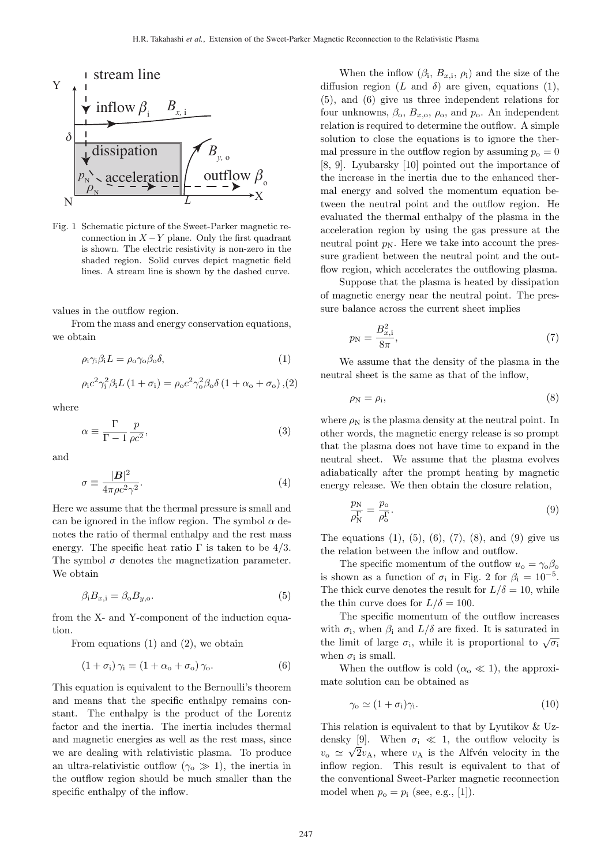

Fig. 1 Schematic picture of the Sweet-Parker magnetic reconnection in  $X - Y$  plane. Only the first quadrant is shown. The electric resistivity is non-zero in the shaded region. Solid curves depict magnetic field lines. A stream line is shown by the dashed curve.

values in the outflow region.

From the mass and energy conservation equations. we obtain

$$
\rho_{i}\gamma_{i}\beta_{i}L = \rho_{o}\gamma_{o}\beta_{o}\delta,
$$
\n(1)

$$
\rho_{\rm i} c^2 \gamma_{\rm i}^2 \beta_{\rm i} L (1 + \sigma_{\rm i}) = \rho_{\rm o} c^2 \gamma_{\rm o}^2 \beta_{\rm o} \delta (1 + \alpha_{\rm o} + \sigma_{\rm o}), (2)
$$

where

$$
\alpha \equiv \frac{\Gamma}{\Gamma - 1} \frac{p}{\rho c^2},\tag{3}
$$

and

$$
\sigma \equiv \frac{|\mathbf{B}|^2}{4\pi\rho c^2 \gamma^2}.
$$
\n(4)

Here we assume that the thermal pressure is small and can be ignored in the inflow region. The symbol  $\alpha$  denotes the ratio of thermal enthalpy and the rest mass energy. The specific heat ratio  $\Gamma$  is taken to be 4/3. The symbol  $\sigma$  denotes the magnetization parameter. We obtain

$$
\beta_{\mathbf{i}} B_{x,\mathbf{i}} = \beta_{\mathbf{o}} B_{y,\mathbf{o}}.\tag{5}
$$

from the X- and Y-component of the induction equation.

From equations (1) and (2), we obtain

$$
(1 + \sigma_{i}) \gamma_{i} = (1 + \alpha_{o} + \sigma_{o}) \gamma_{o}. \qquad (6)
$$

This equation is equivalent to the Bernoulli's theorem and means that the specific enthalpy remains constant. The enthalpy is the product of the Lorentz factor and the inertia. The inertia includes thermal and magnetic energies as well as the rest mass, since we are dealing with relativistic plasma. To produce an ultra-relativistic outflow  $(\gamma_0 \gg 1)$ , the inertia in the outflow region should be much smaller than the specific enthalpy of the inflow.

When the inflow  $(\beta_i, B_{x,i}, \rho_i)$  and the size of the diffusion region  $(L \text{ and } \delta)$  are given, equations (1). (5), and (6) give us three independent relations for four unknowns,  $\beta_0$ ,  $B_{x,0}$ ,  $\rho_0$ , and  $p_0$ . An independent relation is required to determine the outflow. A simple solution to close the equations is to ignore the thermal pressure in the outflow region by assuming  $p_0 = 0$ [8, 9]. Lyubarsky [10] pointed out the importance of the increase in the inertia due to the enhanced thermal energy and solved the momentum equation between the neutral point and the outflow region. He evaluated the thermal enthalpy of the plasma in the acceleration region by using the gas pressure at the neutral point  $p_N$ . Here we take into account the pressure gradient between the neutral point and the outflow region, which accelerates the outflowing plasma.

Suppose that the plasma is heated by dissipation of magnetic energy near the neutral point. The pressure balance across the current sheet implies

$$
p_{\rm N} = \frac{B_{x,i}^2}{8\pi},\tag{7}
$$

We assume that the density of the plasma in the neutral sheet is the same as that of the inflow,

$$
\rho_{\rm N} = \rho_{\rm i},\tag{8}
$$

where  $\rho_N$  is the plasma density at the neutral point. In other words, the magnetic energy release is so prompt that the plasma does not have time to expand in the neutral sheet. We assume that the plasma evolves adiabatically after the prompt heating by magnetic energy release. We then obtain the closure relation,

$$
\frac{p_{\rm N}}{\rho_{\rm N}^{\Gamma}} = \frac{p_{\rm o}}{\rho_{\rm o}^{\Gamma}}.
$$
\n(9)

The equations  $(1)$ ,  $(5)$ ,  $(6)$ ,  $(7)$ ,  $(8)$ , and  $(9)$  give us the relation between the inflow and outflow.

The specific momentum of the outflow  $u_0 = \gamma_0 \beta_0$ is shown as a function of  $\sigma_i$  in Fig. 2 for  $\beta_i = 10^{-5}$ . The thick curve denotes the result for  $L/\delta = 10$ , while the thin curve does for  $L/\delta = 100$ .

The specific momentum of the outflow increases with  $\sigma_i$ , when  $\beta_i$  and  $L/\delta$  are fixed. It is saturated in the limit of large  $\sigma_i$ , while it is proportional to  $\sqrt{\sigma_i}$ when  $\sigma_i$  is small.

When the outflow is cold  $(\alpha_{o} \ll 1)$ , the approximate solution can be obtained as

$$
\gamma_{\rm o} \simeq (1 + \sigma_{\rm i}) \gamma_{\rm i}. \tag{10}
$$

This relation is equivalent to that by Lyutikov & Uzdensky [9]. When  $\sigma_i \ll 1$ , the outflow velocity is  $v_{\rm o} \simeq \sqrt{2}v_{\rm A}$ , where  $v_{\rm A}$  is the Alfvén velocity in the inflow region. This result is equivalent to that of the conventional Sweet-Parker magnetic reconnection model when  $p_o = p_i$  (see, e.g., [1]).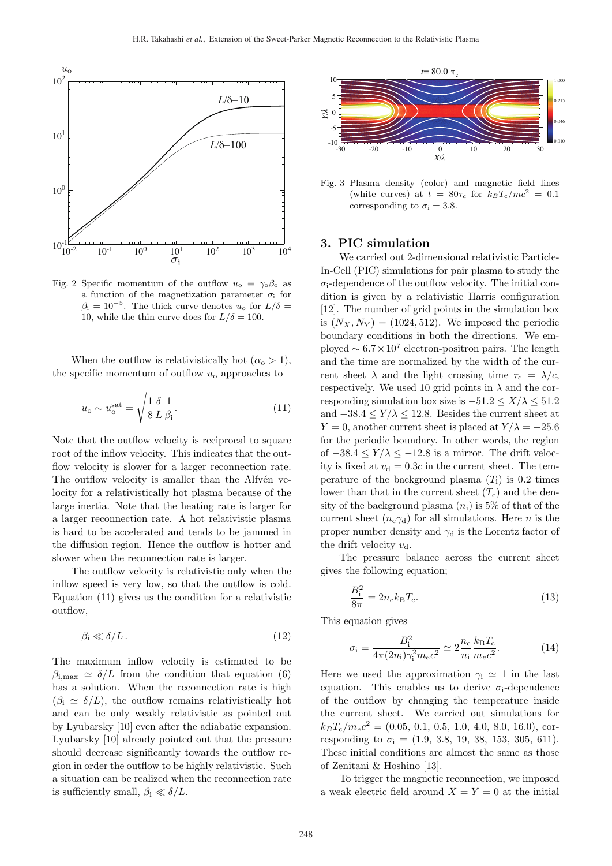

Fig. 2 Specific momentum of the outflow  $u_0 \equiv \gamma_0 \beta_0$  as a function of the magnetization parameter  $\sigma_i$  for  $\beta_i = 10^{-5}$ . The thick curve denotes  $u_0$  for  $L/\delta =$ 10, while the thin curve does for  $L/\delta = 100$ .

When the outflow is relativistically hot  $(\alpha_{o} > 1)$ , the specific momentum of outflow  $u_0$  approaches to

$$
u_{\rm o} \sim u_{\rm o}^{\rm sat} = \sqrt{\frac{1}{8} \frac{\delta}{L} \frac{1}{\beta_{\rm i}}}.
$$
\n(11)

Note that the outflow velocity is reciprocal to square root of the inflow velocity. This indicates that the outflow velocity is slower for a larger reconnection rate. The outflow velocity is smaller than the Alfvén velocity for a relativistically hot plasma because of the large inertia. Note that the heating rate is larger for a larger reconnection rate. A hot relativistic plasma is hard to be accelerated and tends to be jammed in the diffusion region. Hence the outflow is hotter and slower when the reconnection rate is larger.

The outflow velocity is relativistic only when the inflow speed is very low, so that the outflow is cold. Equation (11) gives us the condition for a relativistic outflow,

$$
\beta_{\rm i} \ll \delta/L \,. \tag{12}
$$

The maximum inflow velocity is estimated to be  $\beta_{i,\text{max}} \simeq \delta/L$  from the condition that equation (6) has a solution. When the reconnection rate is high  $(\beta_i \simeq \delta/L)$ , the outflow remains relativistically hot and can be only weakly relativistic as pointed out by Lyubarsky [10] even after the adiabatic expansion. Lyubarsky [10] already pointed out that the pressure should decrease significantly towards the outflow region in order the outflow to be highly relativistic. Such a situation can be realized when the reconnection rate is sufficiently small,  $\beta_i \ll \delta/L$ .



Fig. 3 Plasma density (color) and magnetic field lines (white curves) at  $t = 80\tau_c$  for  $k_B T_c/mc^2 = 0.1$ corresponding to  $\sigma_i = 3.8$ .

## 3. PIC simulation

We carried out 2-dimensional relativistic Particle-In-Cell (PIC) simulations for pair plasma to study the  $\sigma_i$ -dependence of the outflow velocity. The initial condition is given by a relativistic Harris configuration [12]. The number of grid points in the simulation box is  $(N_X, N_Y) = (1024, 512)$ . We imposed the periodic boundary conditions in both the directions. We employed  $\sim 6.7 \times 10^7$  electron-positron pairs. The length and the time are normalized by the width of the current sheet  $\lambda$  and the light crossing time  $\tau_c = \lambda/c$ , respectively. We used 10 grid points in  $\lambda$  and the corresponding simulation box size is  $-51.2 \le X/\lambda \le 51.2$ and  $-38.4 \le Y/\lambda \le 12.8$ . Besides the current sheet at  $Y = 0$ , another current sheet is placed at  $Y/\lambda = -25.6$ for the periodic boundary. In other words, the region of  $-38.4 \le Y/\lambda \le -12.8$  is a mirror. The drift velocity is fixed at  $v_d = 0.3c$  in the current sheet. The temperature of the background plasma  $(T_i)$  is 0.2 times lower than that in the current sheet  $(T_c)$  and the density of the background plasma  $(n_i)$  is 5% of that of the current sheet  $(n_c \gamma_d)$  for all simulations. Here *n* is the proper number density and  $\gamma_d$  is the Lorentz factor of the drift velocity  $v_{\rm d}$ .

The pressure balance across the current sheet gives the following equation;

$$
\frac{B_1^2}{8\pi} = 2n_c k_B T_c.
$$
 (13)

This equation gives

$$
\sigma_{\rm i} = \frac{B_{\rm i}^2}{4\pi (2n_{\rm i})\gamma_{\rm i}^2 m_e c^2} \simeq 2\frac{n_{\rm c}}{n_{\rm i}}\frac{k_{\rm B}T_{\rm c}}{m_e c^2}.\tag{14}
$$

Here we used the approximation  $\gamma_i \simeq 1$  in the last equation. This enables us to derive  $\sigma_i$ -dependence of the outflow by changing the temperature inside the current sheet. We carried out simulations for  $k_BT_c/m_ec^2 = (0.05, 0.1, 0.5, 1.0, 4.0, 8.0, 16.0),$  corresponding to  $\sigma_i = (1.9, 3.8, 19, 38, 153, 305, 611).$ These initial conditions are almost the same as those of Zenitani & Hoshino [13].

To trigger the magnetic reconnection, we imposed a weak electric field around  $X = Y = 0$  at the initial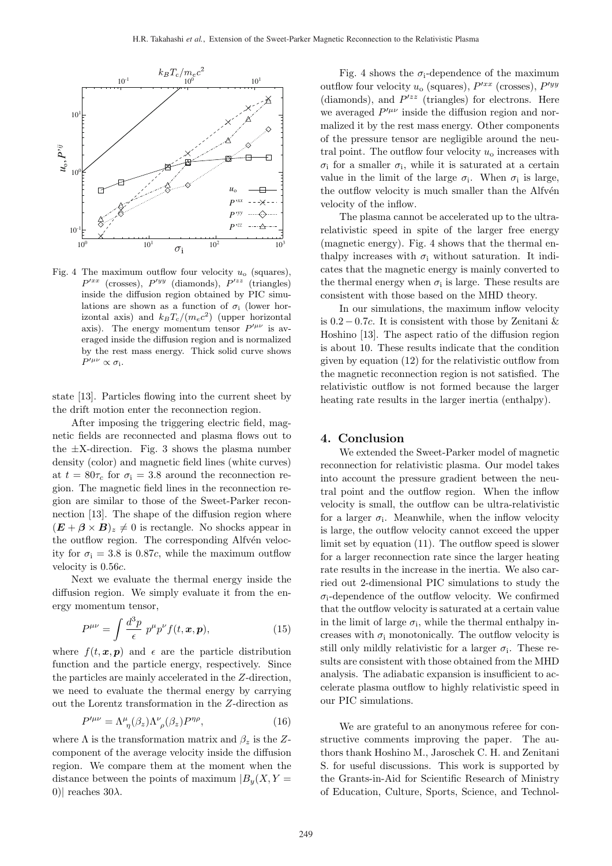

Fig. 4 The maximum outflow four velocity  $u_0$  (squares),  $P'^{xx}$  (crosses),  $P'^{yy}$  (diamonds),  $P'^{zz}$  (triangles) inside the diffusion region obtained by PIC simulations are shown as a function of  $\sigma_i$  (lower horizontal axis) and  $k_BT_c/(m_ec^2)$  (upper horizontal axis). The energy momentum tensor  $P^{\prime\mu\nu}$  is averaged inside the diffusion region and is normalized by the rest mass energy. Thick solid curve shows  $P^{\prime\mu\nu}\propto\sigma_{\rm i}.$ 

state [13]. Particles flowing into the current sheet by the drift motion enter the reconnection region.

After imposing the triggering electric field, magnetic fields are reconnected and plasma flows out to the  $\pm X$ -direction. Fig. 3 shows the plasma number density (color) and magnetic field lines (white curves) at  $t = 80\tau_c$  for  $\sigma_i = 3.8$  around the reconnection region. The magnetic field lines in the reconnection region are similar to those of the Sweet-Parker reconnection [13]. The shape of the diffusion region where  $(\mathbf{E} + \boldsymbol{\beta} \times \mathbf{B})_z \neq 0$  is rectangle. No shocks appear in the outflow region. The corresponding Alfvén velocity for  $\sigma_i = 3.8$  is 0.87c, while the maximum outflow velocity is 0.56c.

Next we evaluate the thermal energy inside the diffusion region. We simply evaluate it from the energy momentum tensor,

$$
P^{\mu\nu} = \int \frac{d^3p}{\epsilon} \ p^{\mu} p^{\nu} f(t, \boldsymbol{x}, \boldsymbol{p}), \qquad (15)
$$

where  $f(t, x, p)$  and  $\epsilon$  are the particle distribution function and the particle energy, respectively. Since the particles are mainly accelerated in the Z-direction, we need to evaluate the thermal energy by carrying out the Lorentz transformation in the Z-direction as

$$
P^{\prime \mu \nu} = \Lambda^{\mu}_{\ \eta}(\beta_z) \Lambda^{\nu}_{\ \rho}(\beta_z) P^{\eta \rho},\tag{16}
$$

where  $\Lambda$  is the transformation matrix and  $\beta_z$  is the Zcomponent of the average velocity inside the diffusion region. We compare them at the moment when the distance between the points of maximum  $|B_u(X, Y)|$ 0)| reaches 30λ.

Fig. 4 shows the  $\sigma_i$ -dependence of the maximum outflow four velocity  $u_0$  (squares),  $P^{\prime xx}$  (crosses),  $P^{\prime yy}$ (diamonds), and  $P^{\prime zz}$  (triangles) for electrons. Here we averaged  $P^{\prime\mu\nu}$  inside the diffusion region and normalized it by the rest mass energy. Other components of the pressure tensor are negligible around the neutral point. The outflow four velocity  $u_0$  increases with  $\sigma_i$  for a smaller  $\sigma_i$ , while it is saturated at a certain value in the limit of the large  $\sigma_i$ . When  $\sigma_i$  is large, the outflow velocity is much smaller than the Alfvén velocity of the inflow.

The plasma cannot be accelerated up to the ultrarelativistic speed in spite of the larger free energy (magnetic energy). Fig. 4 shows that the thermal enthalpy increases with  $\sigma_i$  without saturation. It indicates that the magnetic energy is mainly converted to the thermal energy when  $\sigma_i$  is large. These results are consistent with those based on the MHD theory.

In our simulations, the maximum inflow velocity is  $0.2 - 0.7c$ . It is consistent with those by Zenitani & Hoshino [13]. The aspect ratio of the diffusion region is about 10. These results indicate that the condition given by equation (12) for the relativistic outflow from the magnetic reconnection region is not satisfied. The relativistic outflow is not formed because the larger heating rate results in the larger inertia (enthalpy).

#### 4. Conclusion

We extended the Sweet-Parker model of magnetic reconnection for relativistic plasma. Our model takes into account the pressure gradient between the neutral point and the outflow region. When the inflow velocity is small, the outflow can be ultra-relativistic for a larger  $\sigma_i$ . Meanwhile, when the inflow velocity is large, the outflow velocity cannot exceed the upper limit set by equation (11). The outflow speed is slower for a larger reconnection rate since the larger heating rate results in the increase in the inertia. We also carried out 2-dimensional PIC simulations to study the  $\sigma_i$ -dependence of the outflow velocity. We confirmed that the outflow velocity is saturated at a certain value in the limit of large  $\sigma_i$ , while the thermal enthalpy increases with  $\sigma_i$  monotonically. The outflow velocity is still only mildly relativistic for a larger  $\sigma_i$ . These results are consistent with those obtained from the MHD analysis. The adiabatic expansion is insufficient to accelerate plasma outflow to highly relativistic speed in our PIC simulations.

We are grateful to an anonymous referee for constructive comments improving the paper. The authors thank Hoshino M., Jaroschek C. H. and Zenitani S. for useful discussions. This work is supported by the Grants-in-Aid for Scientific Research of Ministry of Education, Culture, Sports, Science, and Technol